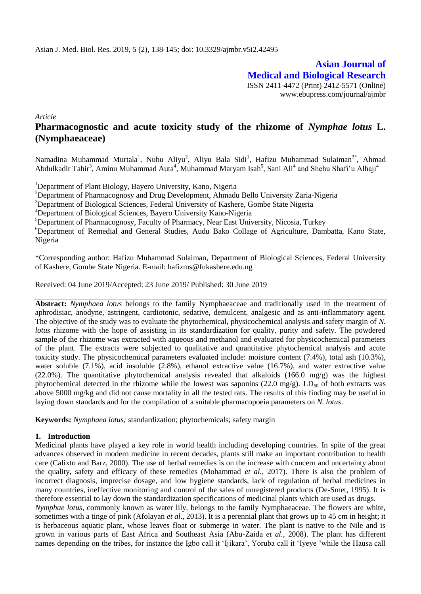**Asian Journal of Medical and Biological Research** ISSN 2411-4472 (Print) 2412-5571 (Online) www.ebupress.com/journal/ajmbr

*Article*

# **Pharmacognostic and acute toxicity study of the rhizome of** *Nymphae lotus* **L. (Nymphaeaceae)**

Namadina Muhammad Murtala<sup>1</sup>, Nuhu Aliyu<sup>2</sup>, Aliyu Bala Sidi<sup>1</sup>, Hafizu Muhammad Sulaiman<sup>3\*</sup>, Ahmad Abdulkadir Tahir<sup>3</sup>, Aminu Muhammad Auta<sup>4</sup>, Muhammad Maryam Isah<sup>5</sup>, Sani Ali<sup>4</sup> and Shehu Shafi'u Alhaji<sup>4</sup>

<sup>1</sup>Department of Plant Biology, Bayero University, Kano, Nigeria

<sup>2</sup>Department of Pharmacognosy and Drug Development, Ahmadu Bello University Zaria-Nigeria

<sup>3</sup>Department of Biological Sciences, Federal University of Kashere, Gombe State Nigeria

<sup>4</sup>Department of Biological Sciences, Bayero University Kano-Nigeria

<sup>5</sup>Department of Pharmacognosy, Faculty of Pharmacy, Near East University, Nicosia, Turkey

<sup>6</sup>Department of Remedial and General Studies, Audu Bako Collage of Agriculture, Dambatta, Kano State, Nigeria

\*Corresponding author: Hafizu Muhammad Sulaiman, Department of Biological Sciences, Federal University of Kashere, Gombe State Nigeria. E-mail: hafizms@fukashere.edu.ng

Received: 04 June 2019/Accepted: 23 June 2019/ Published: 30 June 2019

**Abstract:** *Nymphaea lotus* belongs to the family Nymphaeaceae and traditionally used in the treatment of aphrodisiac, anodyne, astringent, cardiotonic, sedative, demulcent, analgesic and as anti-inflammatory agent. The objective of the study was to evaluate the phytochemical, physicochemical analysis and safety margin of *N. lotus* rhizome with the hope of assisting in its standardization for quality, purity and safety. The powdered sample of the rhizome was extracted with aqueous and methanol and evaluated for physicochemical parameters of the plant. The extracts were subjected to qualitative and quantitative phytochemical analysis and acute toxicity study. The physicochemical parameters evaluated include: moisture content (7.4%), total ash (10.3%), water soluble (7.1%), acid insoluble (2.8%), ethanol extractive value (16.7%), and water extractive value (22.0%). The quantitative phytochemical analysis revealed that alkaloids (166.0 mg/g) was the highest phytochemical detected in the rhizome while the lowest was saponins (22.0 mg/g). LD<sub>50</sub> of both extracts was above 5000 mg/kg and did not cause mortality in all the tested rats. The results of this finding may be useful in laying down standards and for the compilation of a suitable pharmacopoeia parameters on *N. lotus*.

**Keywords:** *Nymphaea lotus;* standardization; phytochemicals; safety margin

#### **1. Introduction**

Medicinal plants have played a key role in world health including developing countries. In spite of the great advances observed in modern medicine in recent decades, plants still make an important contribution to health care (Calixto and Barz, 2000). The use of herbal remedies is on the increase with concern and uncertainty about the quality, safety and efficacy of these remedies (Mohammad *et al.,* 2017). There is also the problem of incorrect diagnosis, imprecise dosage, and low hygiene standards, lack of regulation of herbal medicines in many countries, ineffective monitoring and control of the sales of unregistered products (De-Smet, 1995). It is therefore essential to lay down the standardization specifications of medicinal plants which are used as drugs.

*Nymphae lotus*, commonly known as water lily, belongs to the family Nymphaeaceae. The flowers are white, sometimes with a tinge of pink (Afolayan *et al*., 2013). It is a perennial plant that grows up to 45 cm in height; it is herbaceous aquatic plant, whose leaves float or submerge in water. The plant is native to the Nile and is grown in various parts of East Africa and Southeast Asia (Abu-Zaida *et al.,* 2008). The plant has different names depending on the tribes, for instance the Igbo call it 'Ijikara', Yoruba call it 'Iyeye 'while the Hausa call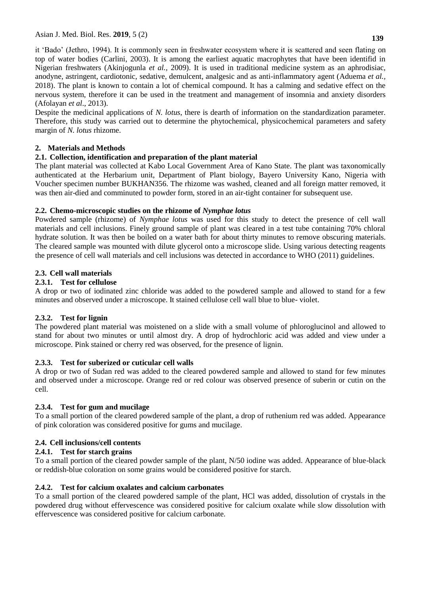it 'Bado' (Jethro, 1994). It is commonly seen in freshwater ecosystem where it is scattered and seen flating on top of water bodies (Carlini, 2003). It is among the earliest aquatic macrophytes that have been identifid in Nigerian freshwaters (Akinjogunla *et al.,* 2009). It is used in traditional medicine system as an aphrodisiac, anodyne, astringent, cardiotonic, sedative, demulcent, analgesic and as anti-inflammatory agent (Aduema *et al.,* 2018). The plant is known to contain a lot of chemical compound. It has a calming and sedative effect on the nervous system, therefore it can be used in the treatment and management of insomnia and anxiety disorders (Afolayan *et al*., 2013).

Despite the medicinal applications of *N. lotus*, there is dearth of information on the standardization parameter. Therefore, this study was carried out to determine the phytochemical, physicochemical parameters and safety margin of *N. lotus* rhizome.

## **2. Materials and Methods**

## **2.1. Collection, identification and preparation of the plant material**

The plant material was collected at Kabo Local Government Area of Kano State. The plant was taxonomically authenticated at the Herbarium unit, Department of Plant biology, Bayero University Kano, Nigeria with Voucher specimen number BUKHAN356. The rhizome was washed, cleaned and all foreign matter removed, it was then air-died and comminuted to powder form, stored in an air-tight container for subsequent use.

## **2.2. Chemo-microscopic studies on the rhizome of** *Nymphae lotus*

Powdered sample (rhizome) of *Nymphae lotus* was used for this study to detect the presence of cell wall materials and cell inclusions. Finely ground sample of plant was cleared in a test tube containing 70% chloral hydrate solution. It was then be boiled on a water bath for about thirty minutes to remove obscuring materials. The cleared sample was mounted with dilute glycerol onto a microscope slide. Using various detecting reagents the presence of cell wall materials and cell inclusions was detected in accordance to WHO (2011) guidelines.

## **2.3. Cell wall materials**

### **2.3.1. Test for cellulose**

A drop or two of iodinated zinc chloride was added to the powdered sample and allowed to stand for a few minutes and observed under a microscope. It stained cellulose cell wall blue to blue- violet.

## **2.3.2. Test for lignin**

The powdered plant material was moistened on a slide with a small volume of phloroglucinol and allowed to stand for about two minutes or until almost dry. A drop of hydrochloric acid was added and view under a microscope. Pink stained or cherry red was observed, for the presence of lignin.

## **2.3.3. Test for suberized or cuticular cell walls**

A drop or two of Sudan red was added to the cleared powdered sample and allowed to stand for few minutes and observed under a microscope. Orange red or red colour was observed presence of suberin or cutin on the cell.

## **2.3.4. Test for gum and mucilage**

To a small portion of the cleared powdered sample of the plant, a drop of ruthenium red was added. Appearance of pink coloration was considered positive for gums and mucilage.

## **2.4. Cell inclusions/cell contents**

## **2.4.1. Test for starch grains**

To a small portion of the cleared powder sample of the plant, N/50 iodine was added. Appearance of blue-black or reddish-blue coloration on some grains would be considered positive for starch.

## **2.4.2. Test for calcium oxalates and calcium carbonates**

To a small portion of the cleared powdered sample of the plant, HCl was added, dissolution of crystals in the powdered drug without effervescence was considered positive for calcium oxalate while slow dissolution with effervescence was considered positive for calcium carbonate.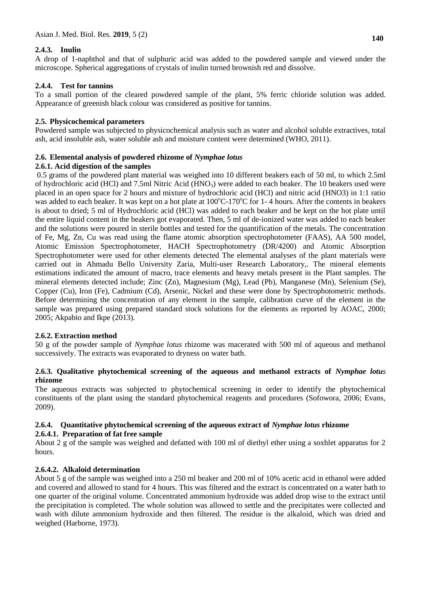### **2.4.3. Inulin**

A drop of 1-naphthol and that of sulphuric acid was added to the powdered sample and viewed under the microscope. Spherical aggregations of crystals of inulin turned brownish red and dissolve.

### **2.4.4. Test for tannins**

To a small portion of the cleared powdered sample of the plant, 5% ferric chloride solution was added. Appearance of greenish black colour was considered as positive for tannins.

### **2.5. Physicochemical parameters**

Powdered sample was subjected to physicochemical analysis such as water and alcohol soluble extractives, total ash, acid insoluble ash, water soluble ash and moisture content were determined (WHO, 2011).

### **2.6. Elemental analysis of powdered rhizome of** *Nymphae lotus*

#### **2.6.1. Acid digestion of the samples**

0.5 grams of the powdered plant material was weighed into 10 different beakers each of 50 ml, to which 2.5ml of hydrochloric acid (HCl) and 7.5ml Nitric Acid (HNO<sub>3</sub>) were added to each beaker. The 10 beakers used were placed in an open space for 2 hours and mixture of hydrochloric acid (HCl) and nitric acid (HNO3) in 1:1 ratio was added to each beaker. It was kept on a hot plate at  $100^{\circ}$ C-170<sup>o</sup>C for 1-4 hours. After the contents in beakers is about to dried; 5 ml of Hydrochloric acid (HCl) was added to each beaker and be kept on the hot plate until the entire liquid content in the beakers got evaporated. Then, 5 ml of de-ionized water was added to each beaker and the solutions were poured in sterile bottles and tested for the quantification of the metals. The concentration of Fe, Mg, Zn, Cu was read using the flame atomic absorption spectrophotometer (FAAS), AA 500 model, Atomic Emission Spectrophotometer, HACH Spectrophotometry (DR/4200) and Atomic Absorption Spectrophotometer were used for other elements detected The elemental analyses of the plant materials were carried out in Ahmadu Bello University Zaria, Multi-user Research Laboratory,. The mineral elements estimations indicated the amount of macro, trace elements and heavy metals present in the Plant samples. The mineral elements detected include; Zinc (Zn), Magnesium (Mg), Lead (Pb), Manganese (Mn), Selenium (Se), Copper (Cu), Iron (Fe), Cadmium (Cd), Arsenic, Nickel and these were done by Spectrophotometric methods. Before determining the concentration of any element in the sample, calibration curve of the element in the sample was prepared using prepared standard stock solutions for the elements as reported by AOAC, 2000; 2005; Akpabio and Ikpe (2013).

#### **2.6.2. Extraction method**

50 g of the powder sample of *Nymphae lotus* rhizome was macerated with 500 ml of aqueous and methanol successively. The extracts was evaporated to dryness on water bath.

#### **2.6.3. Qualitative phytochemical screening of the aqueous and methanol extracts of** *Nymphae lotus* **rhizome**

The aqueous extracts was subjected to phytochemical screening in order to identify the phytochemical constituents of the plant using the standard phytochemical reagents and procedures (Sofowora, 2006; Evans, 2009).

## **2.6.4. Quantitative phytochemical screening of the aqueous extract of** *Nymphae lotus* **rhizome**

#### **2.6.4.1. Preparation of fat free sample**

About 2 g of the sample was weighed and defatted with 100 ml of diethyl ether using a soxhlet apparatus for 2 hours.

#### **2.6.4.2. Alkaloid determination**

About 5 g of the sample was weighed into a 250 ml beaker and 200 ml of 10% acetic acid in ethanol were added and covered and allowed to stand for 4 hours. This was filtered and the extract is concentrated on a water bath to one quarter of the original volume. Concentrated ammonium hydroxide was added drop wise to the extract until the precipitation is completed. The whole solution was allowed to settle and the precipitates were collected and wash with dilute ammonium hydroxide and then filtered. The residue is the alkaloid, which was dried and weighed (Harborne, 1973).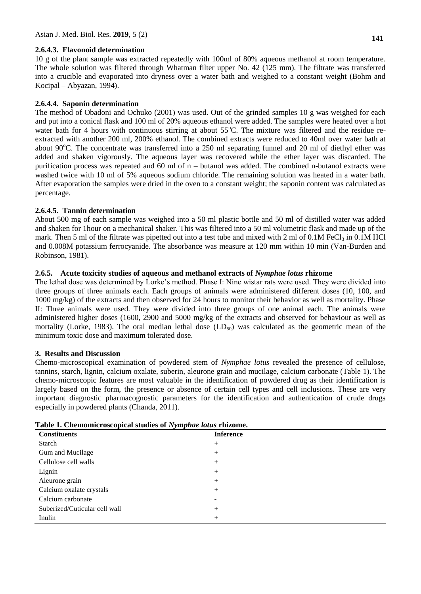#### **2.6.4.3. Flavonoid determination**

10 g of the plant sample was extracted repeatedly with 100ml of 80% aqueous methanol at room temperature. The whole solution was filtered through Whatman filter upper No. 42 (125 mm). The filtrate was transferred into a crucible and evaporated into dryness over a water bath and weighed to a constant weight (Bohm and Kocipal – Abyazan, 1994).

### **2.6.4.4. Saponin determination**

The method of Obadoni and Ochuko (2001) was used. Out of the grinded samples 10 g was weighed for each and put into a conical flask and 100 ml of 20% aqueous ethanol were added. The samples were heated over a hot water bath for 4 hours with continuous stirring at about  $55^{\circ}$ C. The mixture was filtered and the residue reextracted with another 200 ml, 200% ethanol. The combined extracts were reduced to 40ml over water bath at about  $90^{\circ}$ C. The concentrate was transferred into a 250 ml separating funnel and 20 ml of diethyl ether was added and shaken vigorously. The aqueous layer was recovered while the ether layer was discarded. The purification process was repeated and 60 ml of n – butanol was added. The combined n-butanol extracts were washed twice with 10 ml of 5% aqueous sodium chloride. The remaining solution was heated in a water bath. After evaporation the samples were dried in the oven to a constant weight; the saponin content was calculated as percentage.

### **2.6.4.5. Tannin determination**

About 500 mg of each sample was weighed into a 50 ml plastic bottle and 50 ml of distilled water was added and shaken for 1hour on a mechanical shaker. This was filtered into a 50 ml volumetric flask and made up of the mark. Then 5 ml of the filtrate was pipetted out into a test tube and mixed with 2 ml of  $0.1M$  FeCl<sub>3</sub> in 0.1M HCl and 0.008M potassium ferrocyanide. The absorbance was measure at 120 mm within 10 min (Van-Burden and Robinson, 1981).

### **2.6.5. Acute toxicity studies of aqueous and methanol extracts of** *Nymphae lotus* **rhizome**

The lethal dose was determined by Lorke's method. Phase I: Nine wistar rats were used. They were divided into three groups of three animals each. Each groups of animals were administered different doses (10, 100, and 1000 mg/kg) of the extracts and then observed for 24 hours to monitor their behavior as well as mortality. Phase II: Three animals were used. They were divided into three groups of one animal each. The animals were administered higher doses (1600, 2900 and 5000 mg/kg of the extracts and observed for behaviour as well as mortality (Lorke, 1983). The oral median lethal dose  $(LD_{50})$  was calculated as the geometric mean of the minimum toxic dose and maximum tolerated dose.

#### **3. Results and Discussion**

Chemo-microscopical examination of powdered stem of *Nymphae lotus* revealed the presence of cellulose, tannins, starch, lignin, calcium oxalate, suberin, aleurone grain and mucilage, calcium carbonate (Table 1). The chemo-microscopic features are most valuable in the identification of powdered drug as their identification is largely based on the form, the presence or absence of certain cell types and cell inclusions. These are very important diagnostic pharmacognostic parameters for the identification and authentication of crude drugs especially in powdered plants (Chanda, 2011).

| $\sim$ 0.000 and 0.0000 promised to 0.000 promised the complete complete the control of the control of the control of the control of the control of the control of the control of the control of the control of the control of<br><b>Constituents</b> | <b>Inference</b>         |
|-------------------------------------------------------------------------------------------------------------------------------------------------------------------------------------------------------------------------------------------------------|--------------------------|
| Starch                                                                                                                                                                                                                                                | $^{+}$                   |
| Gum and Mucilage                                                                                                                                                                                                                                      | $^{+}$                   |
| Cellulose cell walls                                                                                                                                                                                                                                  | $^{+}$                   |
| Lignin                                                                                                                                                                                                                                                | $^{+}$                   |
| Aleurone grain                                                                                                                                                                                                                                        | $^{+}$                   |
| Calcium oxalate crystals                                                                                                                                                                                                                              | $^{+}$                   |
| Calcium carbonate                                                                                                                                                                                                                                     | $\overline{\phantom{a}}$ |
| Suberized/Cuticular cell wall                                                                                                                                                                                                                         | $^{+}$                   |
| Inulin                                                                                                                                                                                                                                                | $^{+}$                   |

**Table 1. Chemomicroscopical studies of** *Nymphae lotus* **rhizome.**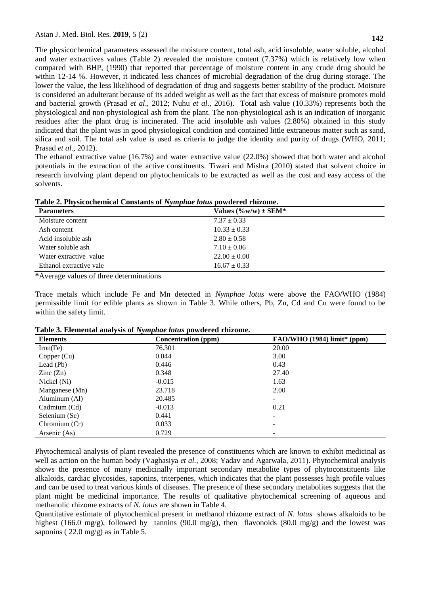**142**

The physicochemical parameters assessed the moisture content, total ash, acid insoluble, water soluble, alcohol and water extractives values (Table 2) revealed the moisture content (7.37%) which is relatively low when compared with BHP, (1990) that reported that percentage of moisture content in any crude drug should be within 12-14 %. However, it indicated less chances of microbial degradation of the drug during storage. The lower the value, the less likelihood of degradation of drug and suggests better stability of the product. Moisture is considered an adulterant because of its added weight as well as the fact that excess of moisture promotes mold and bacterial growth (Prasad *et al*., 2012; Nuhu *et al*., 2016). Total ash value (10.33%) represents both the physiological and non-physiological ash from the plant. The non-physiological ash is an indication of inorganic residues after the plant drug is incinerated. The acid insoluble ash values (2.80%) obtained in this study indicated that the plant was in good physiological condition and contained little extraneous matter such as sand, silica and soil. The total ash value is used as criteria to judge the identity and purity of drugs (WHO, 2011; Prasad *et al.,* 2012).

The ethanol extractive value (16.7%) and water extractive value (22.0%) showed that both water and alcohol potentials in the extraction of the active constituents. Tiwari and Mishra (2010) stated that solvent choice in research involving plant depend on phytochemicals to be extracted as well as the cost and easy access of the solvents.

| Table 2. Physicochemical Constants of Nymphae lotus powdered rhizome. |  |
|-----------------------------------------------------------------------|--|
|                                                                       |  |

| <b>Parameters</b>       | Values $(\%w/w) \pm SEM^*$ |
|-------------------------|----------------------------|
| Moisture content        | $7.37 \pm 0.33$            |
| Ash content             | $10.33 \pm 0.33$           |
| Acid insoluble ash      | $2.80 \pm 0.58$            |
| Water soluble ash       | $7.10 \pm 0.06$            |
| Water extractive value  | $22.00 \pm 0.00$           |
| Ethanol extractive vale | $16.67 \pm 0.33$           |

**\***Average values of three determinations

Trace metals which include Fe and Mn detected in *Nymphae lotus* were above the FAO/WHO (1984) permissible limit for edible plants as shown in Table 3. While others, Pb, Zn, Cd and Cu were found to be within the safety limit.

| Table 3. Elemental analysis of Nymphae lotus powdered rhizome. |  |  |  |  |  |  |
|----------------------------------------------------------------|--|--|--|--|--|--|
|----------------------------------------------------------------|--|--|--|--|--|--|

| <b>Elements</b>          | <b>Concentration</b> (ppm) | $FAO/WHO$ (1984) limit* (ppm) |
|--------------------------|----------------------------|-------------------------------|
| Iron(Fe)                 | 76.301                     | 20.00                         |
| Copper (Cu)              | 0.044                      | 3.00                          |
| Lead (Pb)                | 0.446                      | 0.43                          |
| $\text{Zinc}(\text{Zn})$ | 0.348                      | 27.40                         |
| Nickel (Ni)              | $-0.015$                   | 1.63                          |
| Manganese (Mn)           | 23.718                     | 2.00                          |
| Aluminum (Al)            | 20.485                     |                               |
| Cadmium (Cd)             | $-0.013$                   | 0.21                          |
| Selenium (Se)            | 0.441                      |                               |
| Chromium (Cr)            | 0.033                      |                               |
| Arsenic (As)             | 0.729                      |                               |

Phytochemical analysis of plant revealed the presence of constituents which are known to exhibit medicinal as well as action on the human body (Vaghasiya *et al.,* 2008; Yadav and Agarwala, 2011). Phytochemical analysis shows the presence of many medicinally important secondary metabolite types of phytoconstituents like alkaloids, cardiac glycosides, saponins, triterpenes, which indicates that the plant possesses high profile values and can be used to treat various kinds of diseases. The presence of these secondary metabolites suggests that the plant might be medicinal importance. The results of qualitative phytochemical screening of aqueous and methanolic rhizome extracts of *N. lotus* are shown in Table 4.

Quantitative estimate of phytochemical present in methanol rhizome extract of *N. lotus* shows alkaloids to be highest (166.0 mg/g), followed by tannins (90.0 mg/g), then flavonoids (80.0 mg/g) and the lowest was saponins (22.0 mg/g) as in Table 5.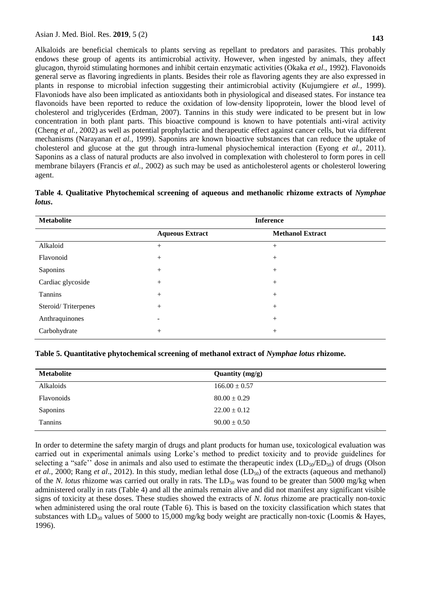Alkaloids are beneficial chemicals to plants serving as repellant to predators and parasites. This probably endows these group of agents its antimicrobial activity. However, when ingested by animals, they affect glucagon, thyroid stimulating hormones and inhibit certain enzymatic activities (Okaka *et al.,* 1992). Flavonoids general serve as flavoring ingredients in plants. Besides their role as flavoring agents they are also expressed in plants in response to microbial infection suggesting their antimicrobial activity (Kujumgiere *et al.,* 1999). Flavoniods have also been implicated as antioxidants both in physiological and diseased states. For instance tea flavonoids have been reported to reduce the oxidation of low-density lipoprotein, lower the blood level of cholesterol and triglycerides (Erdman, 2007). Tannins in this study were indicated to be present but in low concentration in both plant parts. This bioactive compound is known to have potentials anti-viral activity (Cheng *et al.,* 2002) as well as potential prophylactic and therapeutic effect against cancer cells, but via different mechanisms (Narayanan *et al.,* 1999). Saponins are known bioactive substances that can reduce the uptake of cholesterol and glucose at the gut through intra-lumenal physiochemical interaction (Eyong *et al.,* 2011). Saponins as a class of natural products are also involved in complexation with cholesterol to form pores in cell membrane bilayers (Francis *et al.,* 2002) as such may be used as anticholesterol agents or cholesterol lowering agent.

**Table 4. Qualitative Phytochemical screening of aqueous and methanolic rhizome extracts of** *Nymphae lotus***.**

| <b>Metabolite</b>   | <b>Inference</b>       |                         |  |
|---------------------|------------------------|-------------------------|--|
|                     | <b>Aqueous Extract</b> | <b>Methanol Extract</b> |  |
| Alkaloid            | $^{+}$                 | $^{+}$                  |  |
| Flavonoid           |                        | $^{+}$                  |  |
| Saponins            |                        | $+$                     |  |
| Cardiac glycoside   |                        | $^{+}$                  |  |
| Tannins             | $^{+}$                 | $^{+}$                  |  |
| Steroid/Triterpenes | $^{+}$                 | $+$                     |  |
| Anthraquinones      | -                      | $^{+}$                  |  |
| Carbohydrate        | $^{+}$                 | $^{+}$                  |  |

**Table 5. Quantitative phytochemical screening of methanol extract of** *Nymphae lotus* **rhizome.**

| <b>Metabolite</b> | Quantity $(mg/g)$ |
|-------------------|-------------------|
| Alkaloids         | $166.00 \pm 0.57$ |
| Flavonoids        | $80.00 \pm 0.29$  |
| Saponins          | $22.00 \pm 0.12$  |
| <b>Tannins</b>    | $90.00 \pm 0.50$  |

In order to determine the safety margin of drugs and plant products for human use, toxicological evaluation was carried out in experimental animals using Lorke's method to predict toxicity and to provide guidelines for selecting a "safe" dose in animals and also used to estimate the therapeutic index  $(LD_{50}/ED_{50})$  of drugs (Olson *et al.*, 2000; Rang *et al.*, 2012). In this study, median lethal dose (LD<sub>50</sub>) of the extracts (aqueous and methanol) of the *N. lotus* rhizome was carried out orally in rats. The  $LD_{50}$  was found to be greater than 5000 mg/kg when administered orally in rats (Table 4) and all the animals remain alive and did not manifest any significant visible signs of toxicity at these doses. These studies showed the extracts of *N. lotus* rhizome are practically non-toxic when administered using the oral route (Table 6). This is based on the toxicity classification which states that substances with  $LD_{50}$  values of 5000 to 15,000 mg/kg body weight are practically non-toxic (Loomis & Hayes, 1996).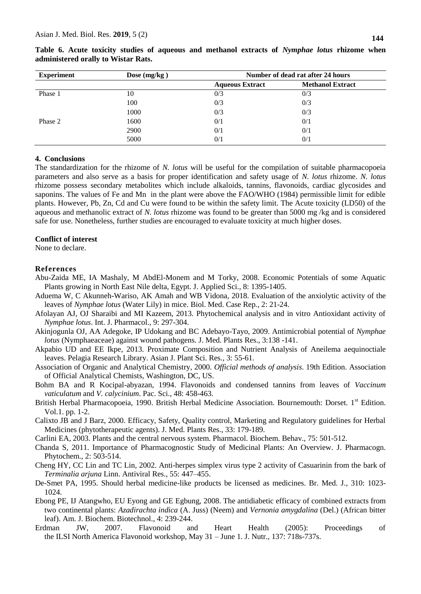| <b>Experiment</b> | Dose $(mg/kg)$ | Number of dead rat after 24 hours |                         |
|-------------------|----------------|-----------------------------------|-------------------------|
|                   |                | <b>Aqueous Extract</b>            | <b>Methanol Extract</b> |
| Phase 1           | 10             | 0/3                               | 0/3                     |
|                   | 100            | 0/3                               | 0/3                     |
|                   | 1000           | 0/3                               | 0/3                     |
| Phase 2           | 1600           | 0/1                               | 0/1                     |
|                   | 2900           | 0/1                               | 0/1                     |
|                   | 5000           | 0/1                               | 0/1                     |

**Table 6. Acute toxicity studies of aqueous and methanol extracts of** *Nymphae lotus* **rhizome when administered orally to Wistar Rats.**

#### **4. Conclusions**

The standardization for the rhizome of *N. lotus* will be useful for the compilation of suitable pharmacopoeia parameters and also serve as a basis for proper identification and safety usage of *N. lotus* rhizome. *N. lotus* rhizome possess secondary metabolites which include alkaloids, tannins, flavonoids, cardiac glycosides and saponins. The values of Fe and Mn in the plant were above the FAO/WHO (1984) permissible limit for edible plants. However, Pb, Zn, Cd and Cu were found to be within the safety limit. The Acute toxicity (LD50) of the aqueous and methanolic extract of *N. lotus* rhizome was found to be greater than 5000 mg /kg and is considered safe for use. Nonetheless, further studies are encouraged to evaluate toxicity at much higher doses.

#### **Conflict of interest**

None to declare.

#### **References**

- Abu-Zaida ME, IA Mashaly, M AbdEl-Monem and M Torky, 2008. Economic Potentials of some Aquatic Plants growing in North East Nile delta, Egypt. J. Applied Sci., 8: 1395-1405.
- Aduema W, C Akunneh-Wariso, AK Amah and WB Vidona, 2018. Evaluation of the anxiolytic activity of the leaves of *Nymphae lotus* (Water Lily) in mice. Biol. Med. Case Rep*.*, 2: 21-24.
- Afolayan AJ, OJ Sharaibi and MI Kazeem, 2013. Phytochemical analysis and in vitro Antioxidant activity of *Nymphae lotus*. Int. J. Pharmacol., 9: 297-304.
- Akinjogunla OJ, AA Adegoke, IP Udokang and BC Adebayo-Tayo, 2009. Antimicrobial potential of *Nymphae lotus* (Nymphaeaceae) against wound pathogens*.* J. Med. Plants Res., 3:138 -141.
- Akpabio UD and EE Ikpe, 2013. Proximate Composition and Nutrient Analysis of Aneilema aequinoctiale leaves. Pelagia Research Library. Asian J. Plant Sci. Res., 3: 55-61.
- Association of Organic and Analytical Chemistry, 2000. *Official methods of analysis*. 19th Edition. Association of Official Analytical Chemists, Washington, DC, US.
- Bohm BA and R Kocipal-abyazan, 1994. Flavonoids and condensed tannins from leaves of *Vaccinum vaticulatum* and *V. calycinium*. Pac. Sci., 48: 458-463.
- British Herbal Pharmacopoeia, 1990. British Herbal Medicine Association. Bournemouth: Dorset. 1st Edition. Vol.1. pp. 1-2.
- Calixto JB and J Barz, 2000. Efficacy, Safety, Quality control, Marketing and Regulatory guidelines for Herbal Medicines (phytotherapeutic agents). J. Med. Plants Res., 33: 179-189.
- Carlini EA, 2003. Plants and the central nervous system. Pharmacol. Biochem. Behav., 75: 501-512.
- Chanda S, 2011. Importance of Pharmacognostic Study of Medicinal Plants: An Overview. J. Pharmacogn. Phytochem., 2: 503-514.
- Cheng HY, CC Lin and TC Lin, 2002. Anti-herpes simplex virus type 2 activity of Casuarinin from the bark of *Terminalia arjuna* Linn. Antiviral Res., 55: 447–455.
- De-Smet PA, 1995. Should herbal medicine-like products be licensed as medicines. Br. Med. J.*,* 310: 1023- 1024.
- Ebong PE, IJ Atangwho, EU Eyong and GE Egbung, 2008. The antidiabetic efficacy of combined extracts from two continental plants: *Azadirachta indica* (A. Juss) (Neem) and *Vernonia amygdalina* (Del.) (African bitter leaf). Am. J. Biochem. Biotechnol.*,* 4: 239-244.
- Erdman JW, 2007. Flavonoid and Heart Health (2005): Proceedings of the ILSI North America Flavonoid workshop, May 31 – June 1. J. Nutr.*,* 137: 718s-737s.